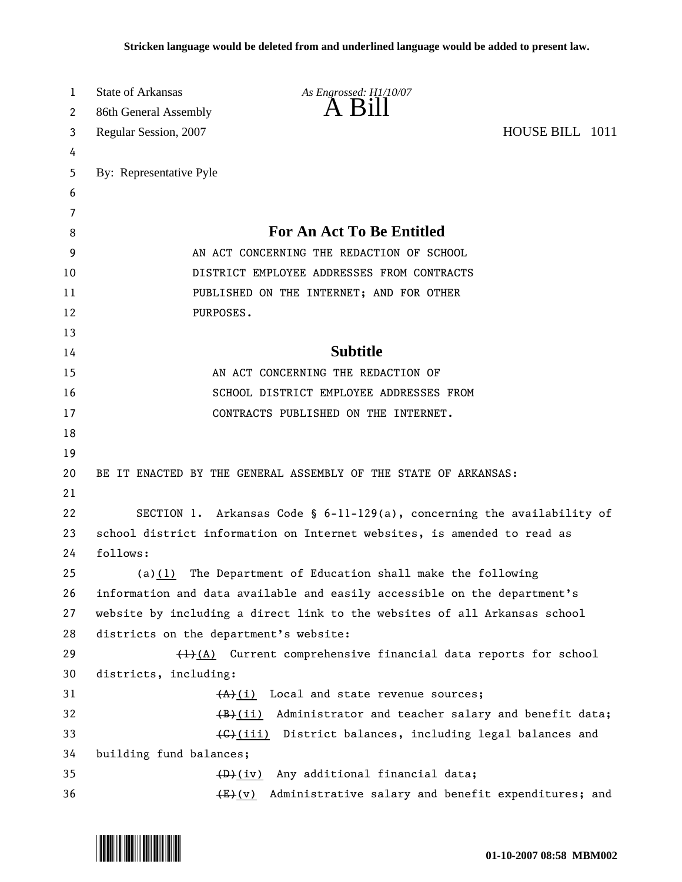| 1        | <b>State of Arkansas</b>                                                            | As Engrossed: H1/10/07<br>A Bill                                                                         |  |
|----------|-------------------------------------------------------------------------------------|----------------------------------------------------------------------------------------------------------|--|
| 2        | 86th General Assembly                                                               |                                                                                                          |  |
| 3        | HOUSE BILL 1011<br>Regular Session, 2007                                            |                                                                                                          |  |
| 4        |                                                                                     |                                                                                                          |  |
| 5<br>6   | By: Representative Pyle                                                             |                                                                                                          |  |
| 7        |                                                                                     |                                                                                                          |  |
| 8        |                                                                                     | <b>For An Act To Be Entitled</b>                                                                         |  |
| 9        | AN ACT CONCERNING THE REDACTION OF SCHOOL                                           |                                                                                                          |  |
| 10       |                                                                                     | DISTRICT EMPLOYEE ADDRESSES FROM CONTRACTS                                                               |  |
| 11       |                                                                                     | PUBLISHED ON THE INTERNET; AND FOR OTHER                                                                 |  |
| 12       | PURPOSES.                                                                           |                                                                                                          |  |
| 13       |                                                                                     |                                                                                                          |  |
| 14       |                                                                                     | <b>Subtitle</b>                                                                                          |  |
| 15       |                                                                                     | AN ACT CONCERNING THE REDACTION OF                                                                       |  |
| 16       |                                                                                     | SCHOOL DISTRICT EMPLOYEE ADDRESSES FROM                                                                  |  |
| 17       |                                                                                     | CONTRACTS PUBLISHED ON THE INTERNET.                                                                     |  |
| 18       |                                                                                     |                                                                                                          |  |
| 19       |                                                                                     |                                                                                                          |  |
| 20       | BE IT ENACTED BY THE GENERAL ASSEMBLY OF THE STATE OF ARKANSAS:                     |                                                                                                          |  |
| 21       |                                                                                     |                                                                                                          |  |
| 22       | SECTION 1. Arkansas Code § $6-11-129(a)$ , concerning the availability of           |                                                                                                          |  |
| 23       | school district information on Internet websites, is amended to read as             |                                                                                                          |  |
| 24       | follows:                                                                            |                                                                                                          |  |
| 25       | (a)(1)                                                                              | The Department of Education shall make the following                                                     |  |
| 26       | information and data available and easily accessible on the department's            |                                                                                                          |  |
| 27       |                                                                                     | website by including a direct link to the websites of all Arkansas school                                |  |
| 28       | districts on the department's website:                                              |                                                                                                          |  |
| 29       |                                                                                     | $\frac{1}{2}(A)$ Current comprehensive financial data reports for school                                 |  |
| 30       | districts, including:                                                               |                                                                                                          |  |
| 31<br>32 |                                                                                     | $(A)$ (i) Local and state revenue sources;<br>(B)(ii) Administrator and teacher salary and benefit data; |  |
| 33       |                                                                                     |                                                                                                          |  |
| 34       | (G)(iii) District balances, including legal balances and<br>building fund balances; |                                                                                                          |  |
| 35       | (D)(iv) Any additional financial data;                                              |                                                                                                          |  |
| 36       |                                                                                     | Administrative salary and benefit expenditures; and<br>$\frac{E\left(\mathrm{V}\right)}{E}$              |  |